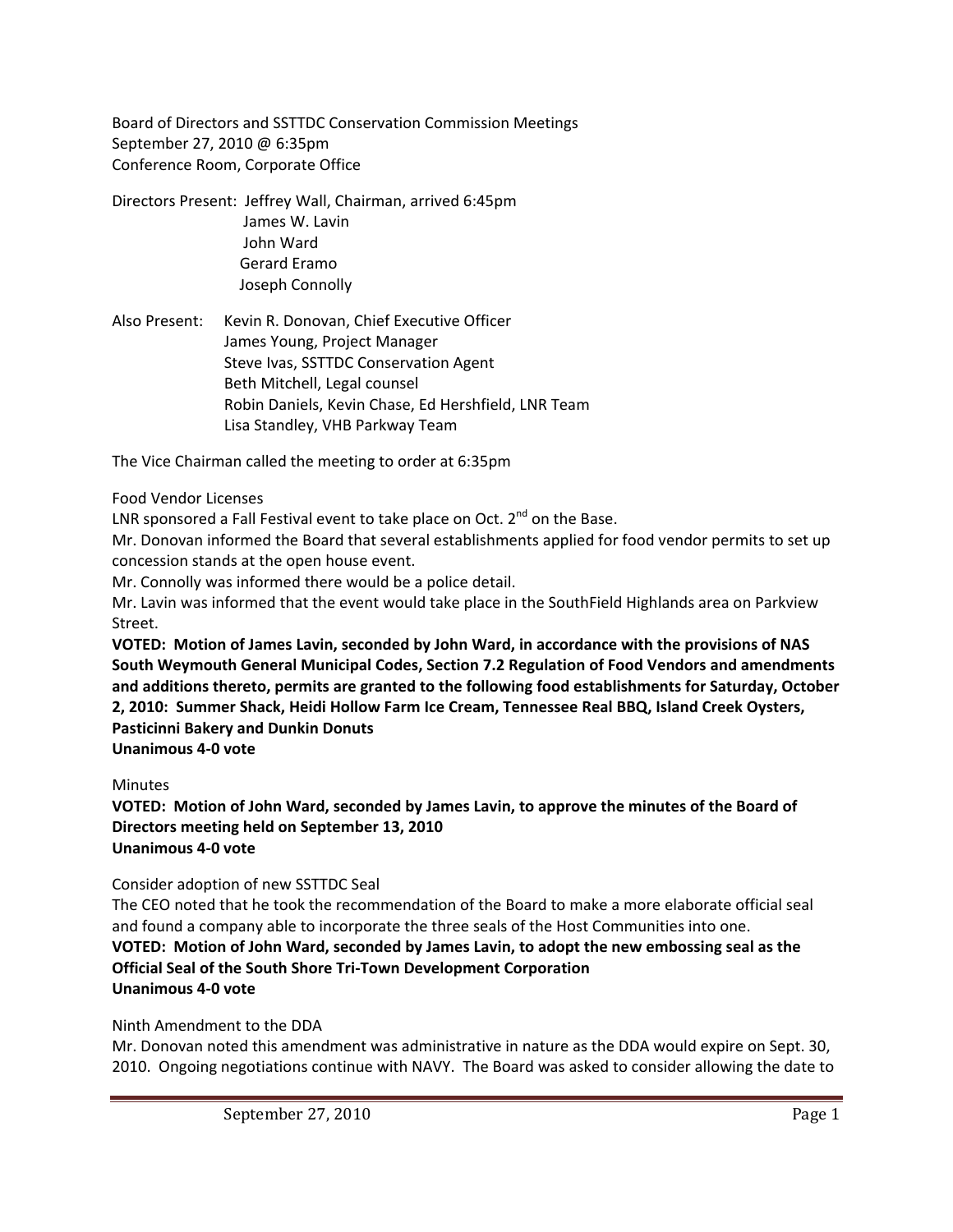Board of Directors and SSTTDC Conservation Commission Meetings September 27, 2010 @ 6:35pm Conference Room, Corporate Office

Directors Present: Jeffrey Wall, Chairman, arrived 6:45pm James W. Lavin John Ward Gerard Eramo Joseph Connolly

Also Present: Kevin R. Donovan, Chief Executive Officer James Young, Project Manager Steve Ivas, SSTTDC Conservation Agent Beth Mitchell, Legal counsel Robin Daniels, Kevin Chase, Ed Hershfield, LNR Team Lisa Standley, VHB Parkway Team

The Vice Chairman called the meeting to order at 6:35pm

#### Food Vendor Licenses

LNR sponsored a Fall Festival event to take place on Oct.  $2^{nd}$  on the Base.

Mr. Donovan informed the Board that several establishments applied for food vendor permits to set up concession stands at the open house event.

Mr. Connolly was informed there would be a police detail.

Mr. Lavin was informed that the event would take place in the SouthField Highlands area on Parkview Street.

**VOTED: Motion of James Lavin, seconded by John Ward, in accordance with the provisions of NAS South Weymouth General Municipal Codes, Section 7.2 Regulation of Food Vendors and amendments and additions thereto, permits are granted to the following food establishments for Saturday, October 2, 2010: Summer Shack, Heidi Hollow Farm Ice Cream, Tennessee Real BBQ, Island Creek Oysters, Pasticinni Bakery and Dunkin Donuts Unanimous 4‐0 vote**

**Minutes** 

**VOTED: Motion of John Ward, seconded by James Lavin, to approve the minutes of the Board of Directors meeting held on September 13, 2010 Unanimous 4‐0 vote**

Consider adoption of new SSTTDC Seal

The CEO noted that he took the recommendation of the Board to make a more elaborate official seal and found a company able to incorporate the three seals of the Host Communities into one. **VOTED: Motion of John Ward, seconded by James Lavin, to adopt the new embossing seal as the Official Seal of the South Shore Tri‐Town Development Corporation Unanimous 4‐0 vote**

Ninth Amendment to the DDA

Mr. Donovan noted this amendment was administrative in nature as the DDA would expire on Sept. 30, 2010. Ongoing negotiations continue with NAVY. The Board was asked to consider allowing the date to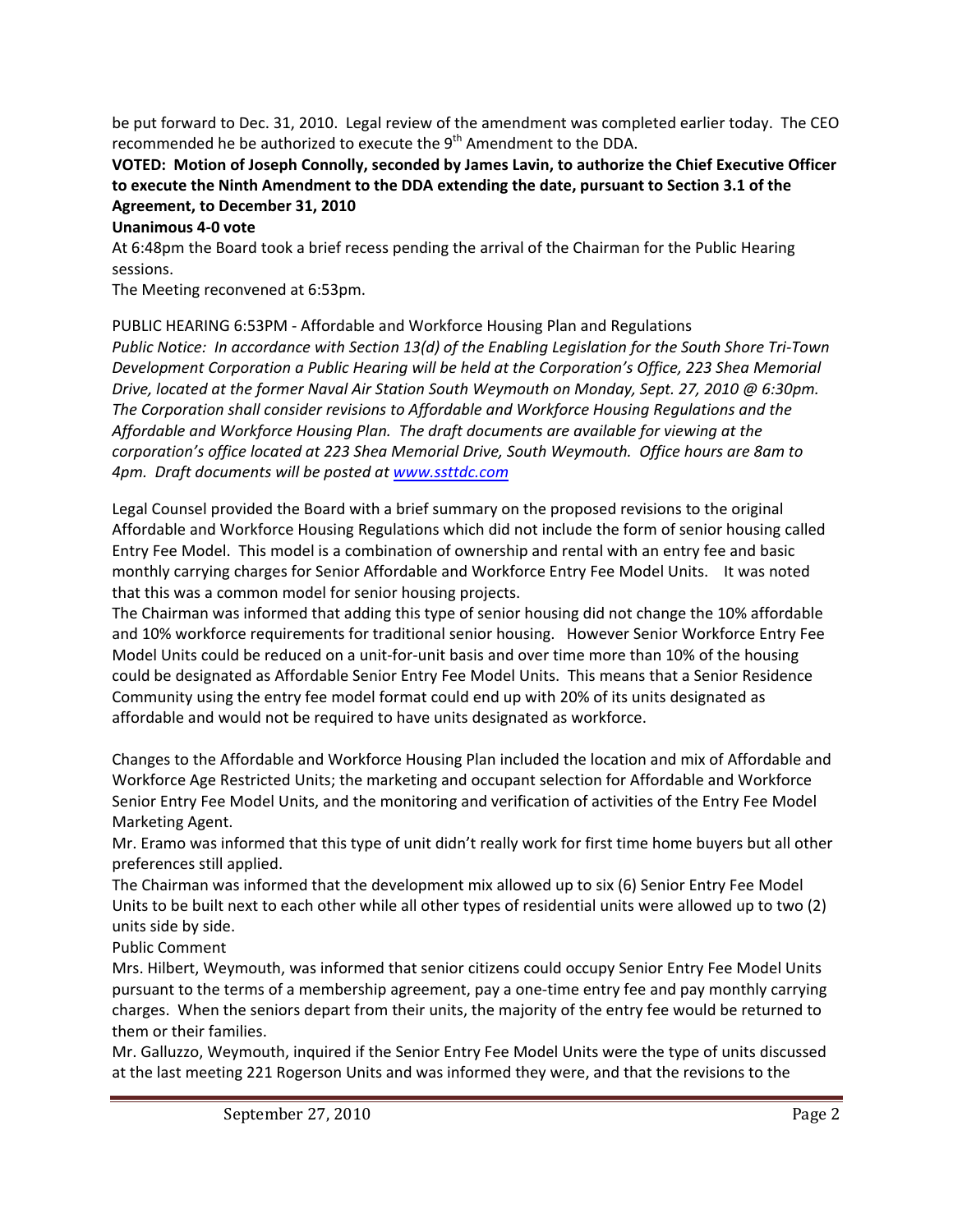be put forward to Dec. 31, 2010. Legal review of the amendment was completed earlier today. The CEO recommended he be authorized to execute the 9<sup>th</sup> Amendment to the DDA.

# **VOTED: Motion of Joseph Connolly, seconded by James Lavin, to authorize the Chief Executive Officer to execute the Ninth Amendment to the DDA extending the date, pursuant to Section 3.1 of the Agreement, to December 31, 2010**

#### **Unanimous 4‐0 vote**

At 6:48pm the Board took a brief recess pending the arrival of the Chairman for the Public Hearing sessions.

The Meeting reconvened at 6:53pm.

PUBLIC HEARING 6:53PM ‐ Affordable and Workforce Housing Plan and Regulations Public Notice: In accordance with Section 13(d) of the Enabling Legislation for the South Shore Tri-Town *Development Corporation a Public Hearing will be held at the Corporation's Office, 223 Shea Memorial* Drive, located at the former Naval Air Station South Weymouth on Monday, Sept. 27, 2010 @ 6:30pm. *The Corporation shall consider revisions to Affordable and Workforce Housing Regulations and the Affordable and Workforce Housing Plan. The draft documents are available for viewing at the corporation's office located at 223 Shea Memorial Drive, South Weymouth. Office hours are 8am to 4pm. Draft documents will be posted at www.ssttdc.com*

Legal Counsel provided the Board with a brief summary on the proposed revisions to the original Affordable and Workforce Housing Regulations which did not include the form of senior housing called Entry Fee Model. This model is a combination of ownership and rental with an entry fee and basic monthly carrying charges for Senior Affordable and Workforce Entry Fee Model Units. It was noted that this was a common model for senior housing projects.

The Chairman was informed that adding this type of senior housing did not change the 10% affordable and 10% workforce requirements for traditional senior housing. However Senior Workforce Entry Fee Model Units could be reduced on a unit-for-unit basis and over time more than 10% of the housing could be designated as Affordable Senior Entry Fee Model Units. This means that a Senior Residence Community using the entry fee model format could end up with 20% of its units designated as affordable and would not be required to have units designated as workforce.

Changes to the Affordable and Workforce Housing Plan included the location and mix of Affordable and Workforce Age Restricted Units; the marketing and occupant selection for Affordable and Workforce Senior Entry Fee Model Units, and the monitoring and verification of activities of the Entry Fee Model Marketing Agent.

Mr. Eramo was informed that this type of unit didn't really work for first time home buyers but all other preferences still applied.

The Chairman was informed that the development mix allowed up to six (6) Senior Entry Fee Model Units to be built next to each other while all other types of residential units were allowed up to two (2) units side by side.

Public Comment

Mrs. Hilbert, Weymouth, was informed that senior citizens could occupy Senior Entry Fee Model Units pursuant to the terms of a membership agreement, pay a one‐time entry fee and pay monthly carrying charges. When the seniors depart from their units, the majority of the entry fee would be returned to them or their families.

Mr. Galluzzo, Weymouth, inquired if the Senior Entry Fee Model Units were the type of units discussed at the last meeting 221 Rogerson Units and was informed they were, and that the revisions to the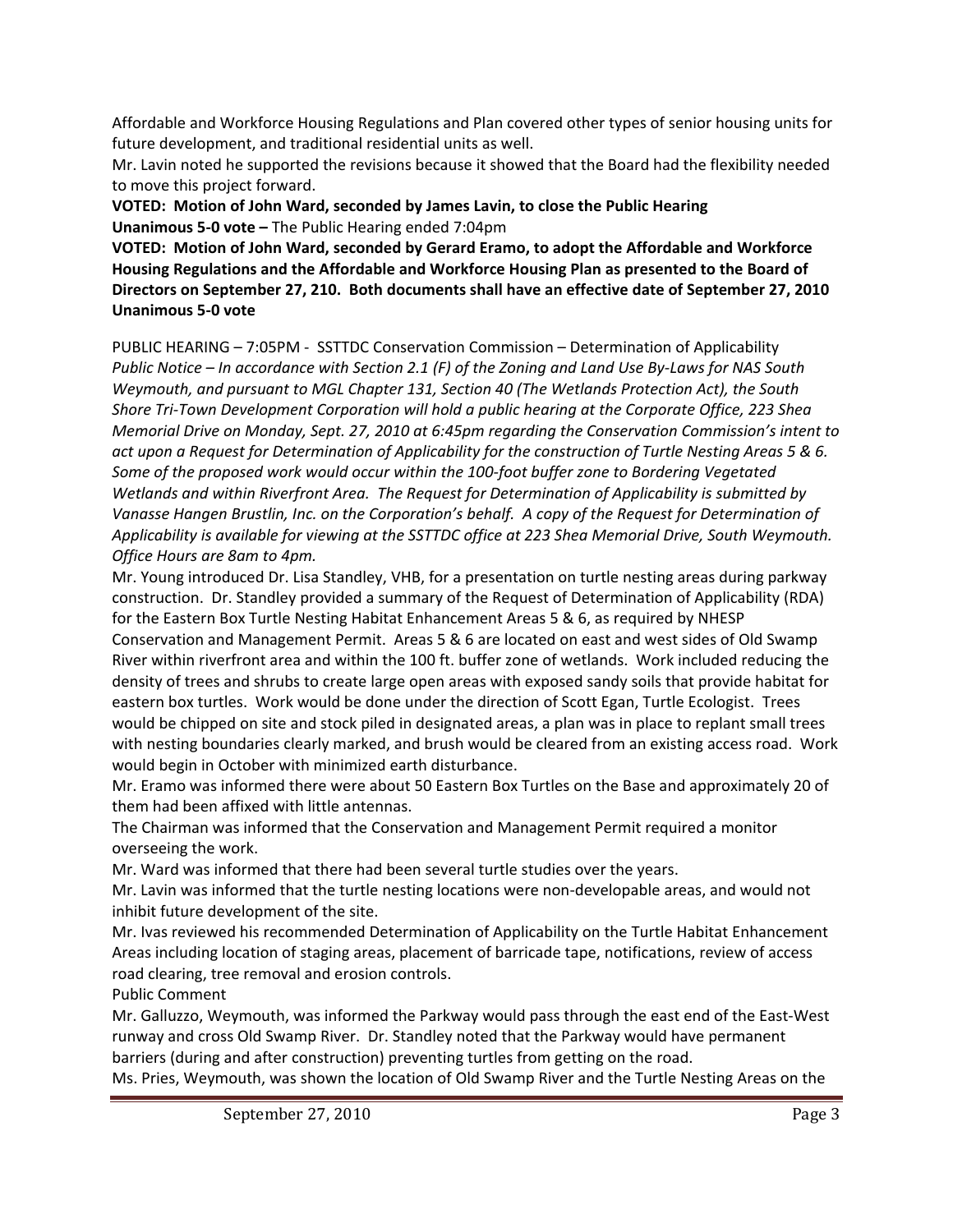Affordable and Workforce Housing Regulations and Plan covered other types of senior housing units for future development, and traditional residential units as well.

Mr. Lavin noted he supported the revisions because it showed that the Board had the flexibility needed to move this project forward.

**VOTED: Motion of John Ward, seconded by James Lavin, to close the Public Hearing Unanimous 5‐0 vote –** The Public Hearing ended 7:04pm

**VOTED: Motion of John Ward, seconded by Gerard Eramo, to adopt the Affordable and Workforce Housing Regulations and the Affordable and Workforce Housing Plan as presented to the Board of Directors on September 27, 210. Both documents shall have an effective date of September 27, 2010 Unanimous 5‐0 vote**

PUBLIC HEARING – 7:05PM ‐ SSTTDC Conservation Commission – Determination of Applicability Public Notice - In accordance with Section 2.1 (F) of the Zoning and Land Use By-Laws for NAS South *Weymouth, and pursuant to MGL Chapter 131, Section 40 (The Wetlands Protection Act), the South Shore Tri‐Town Development Corporation will hold a public hearing at the Corporate Office, 223 Shea Memorial Drive on Monday, Sept. 27, 2010 at 6:45pm regarding the Conservation Commission's intent to* act upon a Request for Determination of Applicability for the construction of Turtle Nesting Areas 5 & 6. *Some of the proposed work would occur within the 100‐foot buffer zone to Bordering Vegetated Wetlands and within Riverfront Area. The Request for Determination of Applicability is submitted by Vanasse Hangen Brustlin, Inc. on the Corporation's behalf. A copy of the Request for Determination of Applicability is available for viewing at the SSTTDC office at 223 Shea Memorial Drive, South Weymouth. Office Hours are 8am to 4pm.* 

Mr. Young introduced Dr. Lisa Standley, VHB, for a presentation on turtle nesting areas during parkway construction. Dr. Standley provided a summary of the Request of Determination of Applicability (RDA) for the Eastern Box Turtle Nesting Habitat Enhancement Areas 5 & 6, as required by NHESP Conservation and Management Permit. Areas 5 & 6 are located on east and west sides of Old Swamp River within riverfront area and within the 100 ft. buffer zone of wetlands. Work included reducing the density of trees and shrubs to create large open areas with exposed sandy soils that provide habitat for eastern box turtles. Work would be done under the direction of Scott Egan, Turtle Ecologist. Trees would be chipped on site and stock piled in designated areas, a plan was in place to replant small trees with nesting boundaries clearly marked, and brush would be cleared from an existing access road. Work would begin in October with minimized earth disturbance.

Mr. Eramo was informed there were about 50 Eastern Box Turtles on the Base and approximately 20 of them had been affixed with little antennas.

The Chairman was informed that the Conservation and Management Permit required a monitor overseeing the work.

Mr. Ward was informed that there had been several turtle studies over the years.

Mr. Lavin was informed that the turtle nesting locations were non‐developable areas, and would not inhibit future development of the site.

Mr. Ivas reviewed his recommended Determination of Applicability on the Turtle Habitat Enhancement Areas including location of staging areas, placement of barricade tape, notifications, review of access road clearing, tree removal and erosion controls.

Public Comment

Mr. Galluzzo, Weymouth, was informed the Parkway would pass through the east end of the East‐West runway and cross Old Swamp River. Dr. Standley noted that the Parkway would have permanent barriers (during and after construction) preventing turtles from getting on the road.

Ms. Pries, Weymouth, was shown the location of Old Swamp River and the Turtle Nesting Areas on the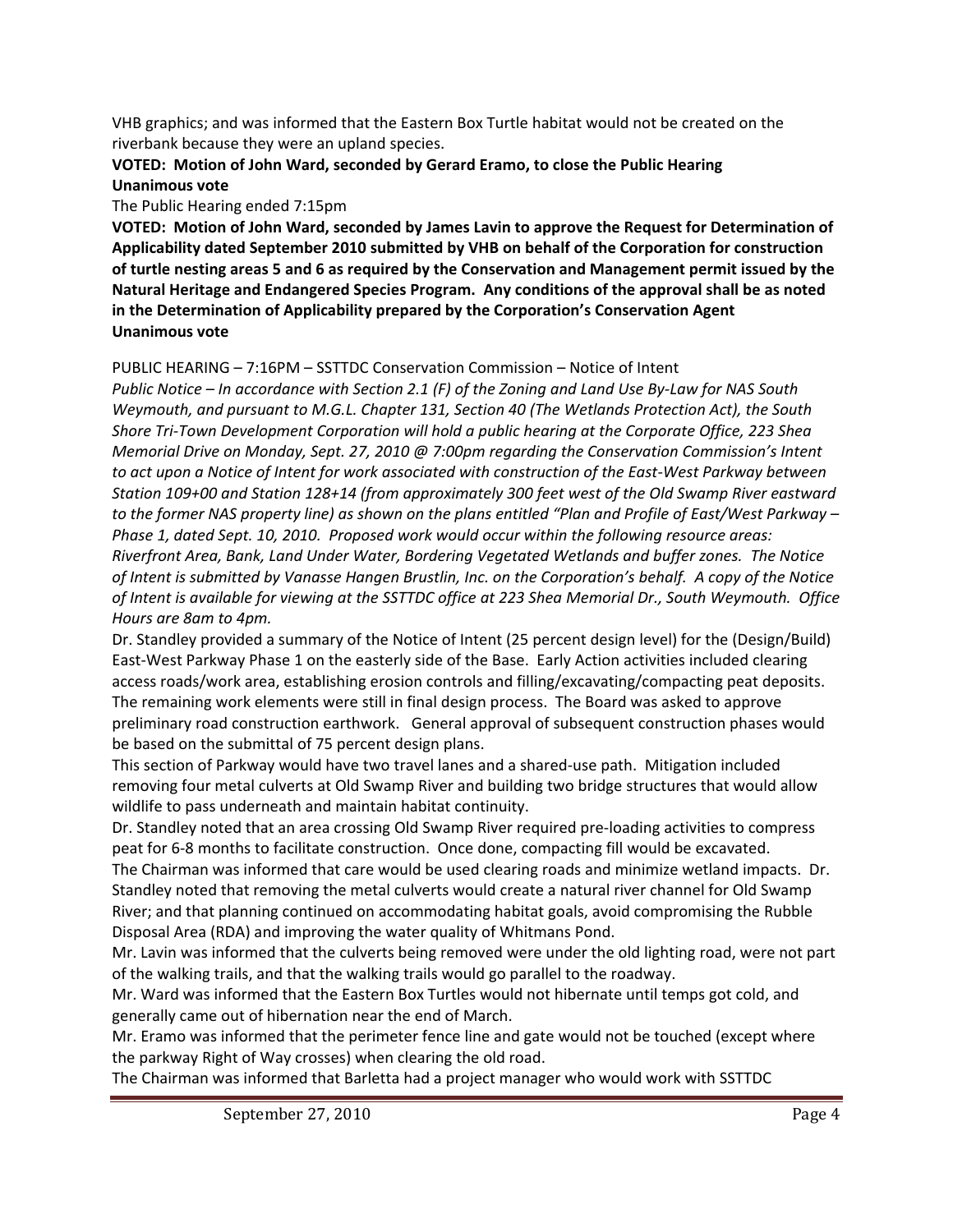VHB graphics; and was informed that the Eastern Box Turtle habitat would not be created on the riverbank because they were an upland species.

### **VOTED: Motion of John Ward, seconded by Gerard Eramo, to close the Public Hearing Unanimous vote**

The Public Hearing ended 7:15pm

**VOTED: Motion of John Ward, seconded by James Lavin to approve the Request for Determination of Applicability dated September 2010 submitted by VHB on behalf of the Corporation for construction** of turtle nesting areas 5 and 6 as required by the Conservation and Management permit issued by the **Natural Heritage and Endangered Species Program. Any conditions of the approval shall be as noted in the Determination of Applicability prepared by the Corporation's Conservation Agent Unanimous vote**

### PUBLIC HEARING – 7:16PM – SSTTDC Conservation Commission – Notice of Intent

Public Notice – In accordance with Section 2.1 (F) of the Zoning and Land Use By-Law for NAS South *Weymouth, and pursuant to M.G.L. Chapter 131, Section 40 (The Wetlands Protection Act), the South Shore Tri‐Town Development Corporation will hold a public hearing at the Corporate Office, 223 Shea Memorial Drive on Monday, Sept. 27, 2010 @ 7:00pm regarding the Conservation Commission's Intent* to act upon a Notice of Intent for work associated with construction of the East-West Parkway between *Station 109+00 and Station 128+14 (from approximately 300 feet west of the Old Swamp River eastward* to the former NAS property line) as shown on the plans entitled "Plan and Profile of East/West Parkway -*Phase 1, dated Sept. 10, 2010. Proposed work would occur within the following resource areas: Riverfront Area, Bank, Land Under Water, Bordering Vegetated Wetlands and buffer zones. The Notice* of Intent is submitted by Vanasse Hangen Brustlin, Inc. on the Corporation's behalf. A copy of the Notice of Intent is available for viewing at the SSTTDC office at 223 Shea Memorial Dr., South Weymouth. Office *Hours are 8am to 4pm.* 

Dr. Standley provided a summary of the Notice of Intent (25 percent design level) for the (Design/Build) East‐West Parkway Phase 1 on the easterly side of the Base. Early Action activities included clearing access roads/work area, establishing erosion controls and filling/excavating/compacting peat deposits. The remaining work elements were still in final design process. The Board was asked to approve preliminary road construction earthwork. General approval of subsequent construction phases would be based on the submittal of 75 percent design plans.

This section of Parkway would have two travel lanes and a shared‐use path. Mitigation included removing four metal culverts at Old Swamp River and building two bridge structures that would allow wildlife to pass underneath and maintain habitat continuity.

Dr. Standley noted that an area crossing Old Swamp River required pre‐loading activities to compress peat for 6‐8 months to facilitate construction. Once done, compacting fill would be excavated. The Chairman was informed that care would be used clearing roads and minimize wetland impacts. Dr. Standley noted that removing the metal culverts would create a natural river channel for Old Swamp River; and that planning continued on accommodating habitat goals, avoid compromising the Rubble Disposal Area (RDA) and improving the water quality of Whitmans Pond.

Mr. Lavin was informed that the culverts being removed were under the old lighting road, were not part of the walking trails, and that the walking trails would go parallel to the roadway.

Mr. Ward was informed that the Eastern Box Turtles would not hibernate until temps got cold, and generally came out of hibernation near the end of March.

Mr. Eramo was informed that the perimeter fence line and gate would not be touched (except where the parkway Right of Way crosses) when clearing the old road.

The Chairman was informed that Barletta had a project manager who would work with SSTTDC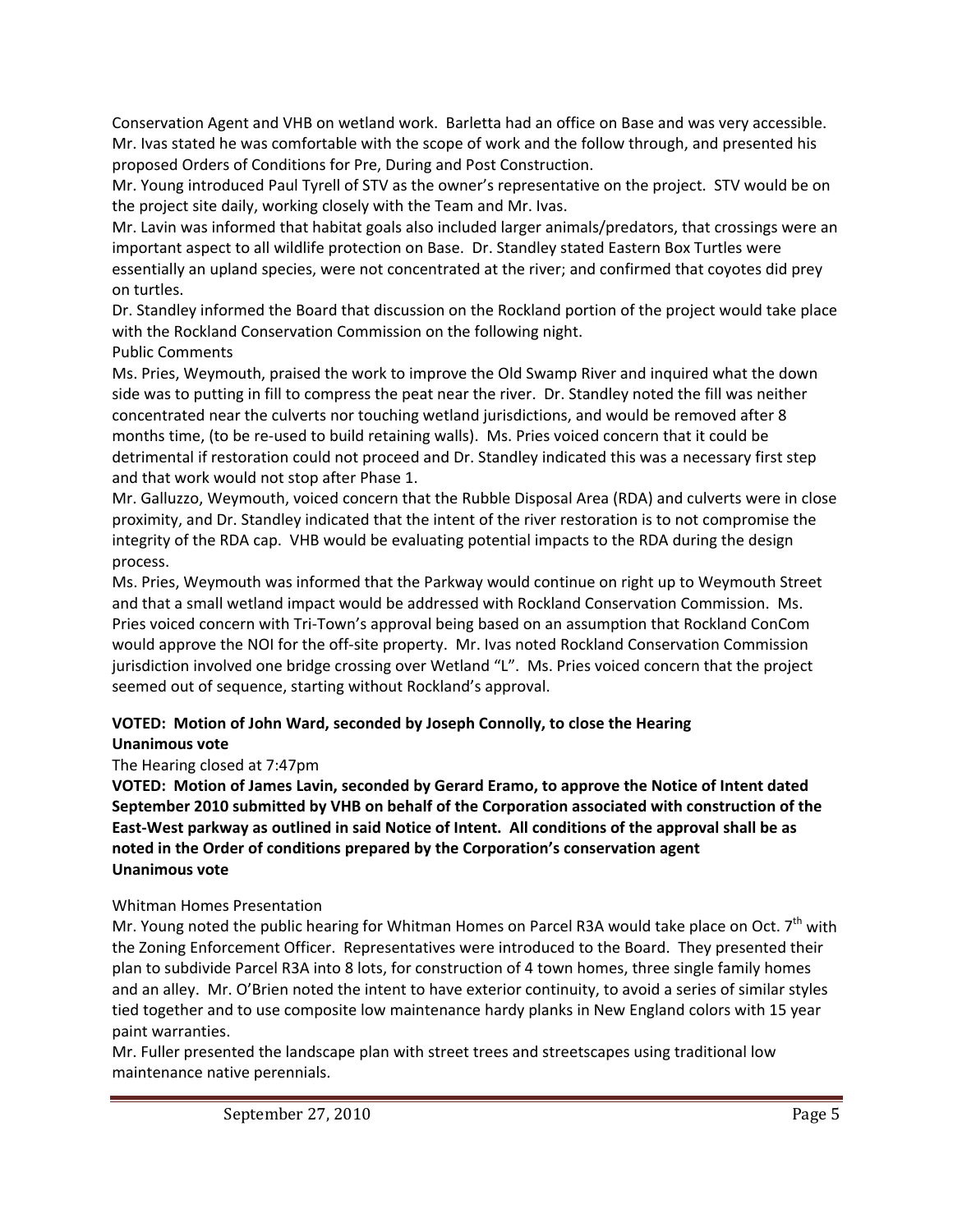Conservation Agent and VHB on wetland work. Barletta had an office on Base and was very accessible. Mr. Ivas stated he was comfortable with the scope of work and the follow through, and presented his proposed Orders of Conditions for Pre, During and Post Construction.

Mr. Young introduced Paul Tyrell of STV as the owner's representative on the project. STV would be on the project site daily, working closely with the Team and Mr. Ivas.

Mr. Lavin was informed that habitat goals also included larger animals/predators, that crossings were an important aspect to all wildlife protection on Base. Dr. Standley stated Eastern Box Turtles were essentially an upland species, were not concentrated at the river; and confirmed that coyotes did prey on turtles.

Dr. Standley informed the Board that discussion on the Rockland portion of the project would take place with the Rockland Conservation Commission on the following night.

# Public Comments

Ms. Pries, Weymouth, praised the work to improve the Old Swamp River and inquired what the down side was to putting in fill to compress the peat near the river. Dr. Standley noted the fill was neither concentrated near the culverts nor touching wetland jurisdictions, and would be removed after 8 months time, (to be re-used to build retaining walls). Ms. Pries voiced concern that it could be detrimental if restoration could not proceed and Dr. Standley indicated this was a necessary first step and that work would not stop after Phase 1.

Mr. Galluzzo, Weymouth, voiced concern that the Rubble Disposal Area (RDA) and culverts were in close proximity, and Dr. Standley indicated that the intent of the river restoration is to not compromise the integrity of the RDA cap. VHB would be evaluating potential impacts to the RDA during the design process.

Ms. Pries, Weymouth was informed that the Parkway would continue on right up to Weymouth Street and that a small wetland impact would be addressed with Rockland Conservation Commission. Ms. Pries voiced concern with Tri‐Town's approval being based on an assumption that Rockland ConCom would approve the NOI for the off-site property. Mr. Ivas noted Rockland Conservation Commission jurisdiction involved one bridge crossing over Wetland "L". Ms. Pries voiced concern that the project seemed out of sequence, starting without Rockland's approval.

#### **VOTED: Motion of John Ward, seconded by Joseph Connolly, to close the Hearing Unanimous vote**

## The Hearing closed at 7:47pm

**VOTED: Motion of James Lavin, seconded by Gerard Eramo, to approve the Notice of Intent dated September 2010 submitted by VHB on behalf of the Corporation associated with construction of the** East-West parkway as outlined in said Notice of Intent. All conditions of the approval shall be as **noted in the Order of conditions prepared by the Corporation's conservation agent Unanimous vote**

## Whitman Homes Presentation

Mr. Young noted the public hearing for Whitman Homes on Parcel R3A would take place on Oct. 7<sup>th</sup> with the Zoning Enforcement Officer. Representatives were introduced to the Board. They presented their plan to subdivide Parcel R3A into 8 lots, for construction of 4 town homes, three single family homes and an alley. Mr. O'Brien noted the intent to have exterior continuity, to avoid a series of similar styles tied together and to use composite low maintenance hardy planks in New England colors with 15 year paint warranties.

Mr. Fuller presented the landscape plan with street trees and streetscapes using traditional low maintenance native perennials.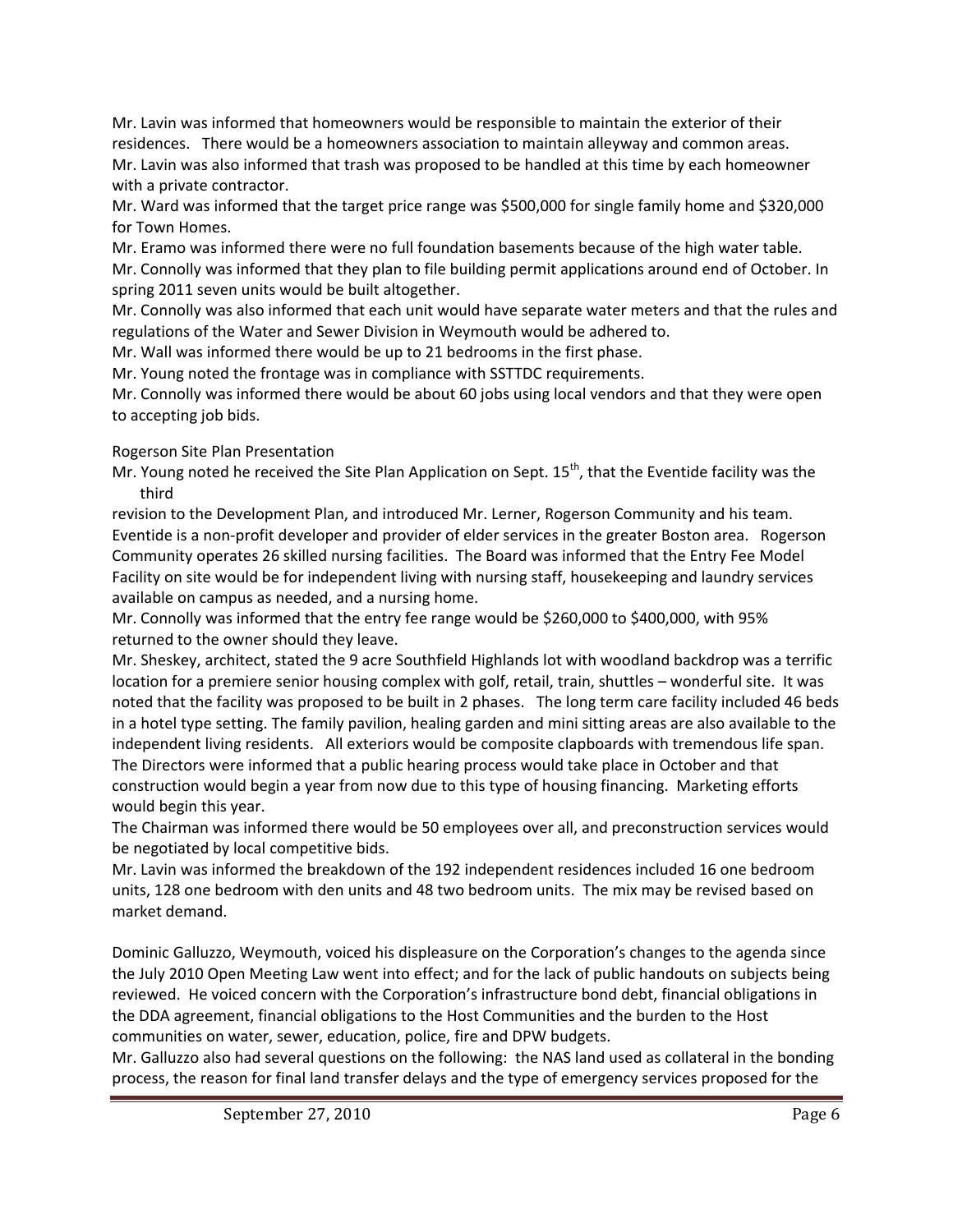Mr. Lavin was informed that homeowners would be responsible to maintain the exterior of their residences. There would be a homeowners association to maintain alleyway and common areas. Mr. Lavin was also informed that trash was proposed to be handled at this time by each homeowner with a private contractor.

Mr. Ward was informed that the target price range was \$500,000 for single family home and \$320,000 for Town Homes.

Mr. Eramo was informed there were no full foundation basements because of the high water table. Mr. Connolly was informed that they plan to file building permit applications around end of October. In spring 2011 seven units would be built altogether.

Mr. Connolly was also informed that each unit would have separate water meters and that the rules and regulations of the Water and Sewer Division in Weymouth would be adhered to.

Mr. Wall was informed there would be up to 21 bedrooms in the first phase.

Mr. Young noted the frontage was in compliance with SSTTDC requirements.

Mr. Connolly was informed there would be about 60 jobs using local vendors and that they were open to accepting job bids.

# Rogerson Site Plan Presentation

Mr. Young noted he received the Site Plan Application on Sept. 15<sup>th</sup>, that the Eventide facility was the third

revision to the Development Plan, and introduced Mr. Lerner, Rogerson Community and his team. Eventide is a non‐profit developer and provider of elder services in the greater Boston area. Rogerson Community operates 26 skilled nursing facilities. The Board was informed that the Entry Fee Model Facility on site would be for independent living with nursing staff, housekeeping and laundry services available on campus as needed, and a nursing home.

Mr. Connolly was informed that the entry fee range would be \$260,000 to \$400,000, with 95% returned to the owner should they leave.

Mr. Sheskey, architect, stated the 9 acre Southfield Highlands lot with woodland backdrop was a terrific location for a premiere senior housing complex with golf, retail, train, shuttles – wonderful site. It was noted that the facility was proposed to be built in 2 phases. The long term care facility included 46 beds in a hotel type setting. The family pavilion, healing garden and mini sitting areas are also available to the independent living residents. All exteriors would be composite clapboards with tremendous life span. The Directors were informed that a public hearing process would take place in October and that construction would begin a year from now due to this type of housing financing. Marketing efforts would begin this year.

The Chairman was informed there would be 50 employees over all, and preconstruction services would be negotiated by local competitive bids.

Mr. Lavin was informed the breakdown of the 192 independent residences included 16 one bedroom units, 128 one bedroom with den units and 48 two bedroom units. The mix may be revised based on market demand.

Dominic Galluzzo, Weymouth, voiced his displeasure on the Corporation's changes to the agenda since the July 2010 Open Meeting Law went into effect; and for the lack of public handouts on subjects being reviewed. He voiced concern with the Corporation's infrastructure bond debt, financial obligations in the DDA agreement, financial obligations to the Host Communities and the burden to the Host communities on water, sewer, education, police, fire and DPW budgets.

Mr. Galluzzo also had several questions on the following: the NAS land used as collateral in the bonding process, the reason for final land transfer delays and the type of emergency services proposed for the